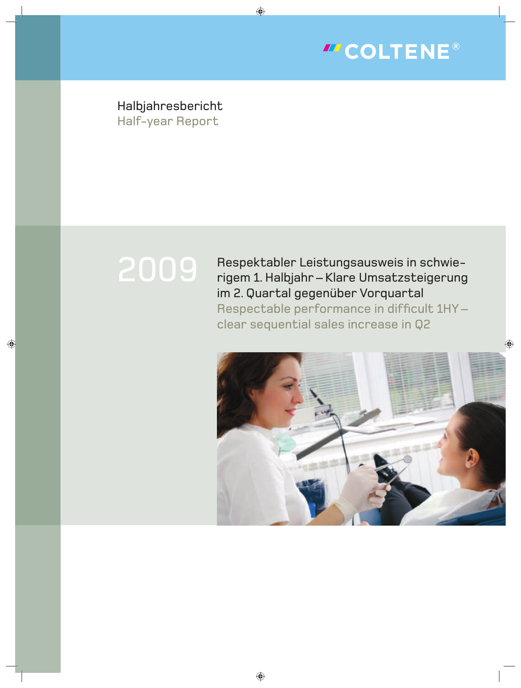

Halbjahresbericht Half-year Report

# 2009

Respektabler Leistungsausweis in schwierigem 1. Halbjahr – Klare Umsatzsteigerung im 2. Quartal gegenüber Vorquartal Respectable performance in difficult 1HYclear sequential sales increase in Q2

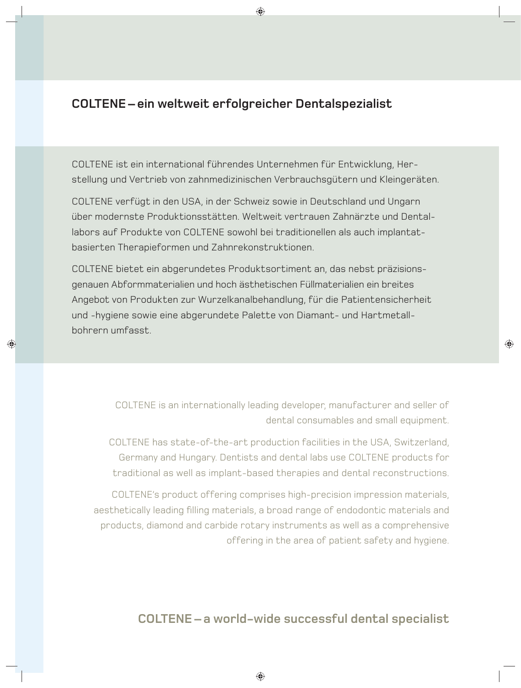## **COLTENE – ein weltweit erfolgreicher Dentalspezialist**

COLTENE ist ein international führendes Unternehmen für Entwicklung, Herstellung und Vertrieb von zahnmedizinischen Verbrauchsgütern und Kleingeräten.

COLTENE verfügt in den USA, in der Schweiz sowie in Deutschland und Ungarn über modernste Produktionsstätten. Weltweit vertrauen Zahnärzte und Dentallabors auf Produkte von COLTENE sowohl bei traditionellen als auch implantatbasierten Therapieformen und Zahnrekonstruktionen.

COLTENE bietet ein abgerundetes Produktsortiment an, das nebst präzisionsgenauen Abformmaterialien und hoch ästhetischen Füllmaterialien ein breites Angebot von Produkten zur Wurzelkanalbehandlung, für die Patientensicherheit und -hygiene sowie eine abgerundete Palette von Diamant- und Hartmetallbohrern umfasst.

> COLTENE is an internationally leading developer, manufacturer and seller of dental consumables and small equipment.

COLTENE has state-of-the-art production facilities in the USA, Switzerland, Germany and Hungary. Dentists and dental labs use COLTENE products for traditional as well as implant-based therapies and dental reconstructions.

COLTENE's product offering comprises high-precision impression materials, aesthetically leading filling materials, a broad range of endodontic materials and products, diamond and carbide rotary instruments as well as a comprehensive offering in the area of patient safety and hygiene.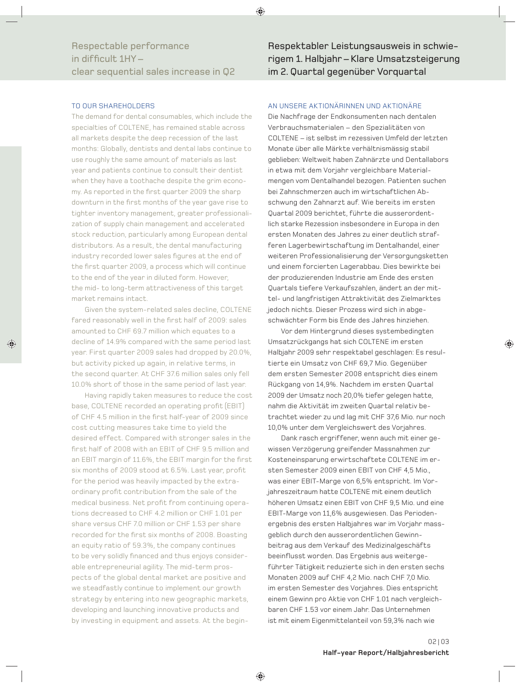### TO OUR SHAREHOLDERS

The demand for dental consumables, which include the specialties of COLTENE, has remained stable across all markets despite the deep recession of the last months: Globally, dentists and dental labs continue to use roughly the same amount of materials as last year and patients continue to consult their dentist when they have a toothache despite the grim economy. As reported in the first quarter 2009 the sharp downturn in the first months of the year gave rise to tighter inventory management, greater professionalization of supply chain management and accelerated stock reduction, particularly among European dental distributors. As a result, the dental manufacturing industry recorded lower sales figures at the end of the first quarter 2009, a process which will continue to the end of the year in diluted form. However, the mid- to long-term attractiveness of this target market remains intact.

Given the system-related sales decline, COLTENE fared reasonably well in the first half of 2009; sales amounted to CHF 69.7 million which equates to a decline of 14.9% compared with the same period last year. First quarter 2009 sales had dropped by 20.0%, but activity picked up again, in relative terms, in the second quarter. At CHF 37.6 million sales only fell 10.0% short of those in the same period of last year.

Having rapidly taken measures to reduce the cost base, COLTENE recorded an operating profit (EBIT) of CHF 4.5 million in the first half-year of 2009 since cost cutting measures take time to yield the desired effect. Compared with stronger sales in the first half of 2008 with an EBIT of CHF 9.5 million and an EBIT margin of 11.6%, the EBIT margin for the first six months of 2009 stood at 6.5%. Last year, profit for the period was heavily impacted by the extraordinary profit contribution from the sale of the medical business. Net profit from continuing operations decreased to CHF 4.2 million or CHF 1.01 per share versus CHF 7.0 million or CHF 1.53 per share recorded for the first six months of 2008. Boasting an equity ratio of 59.3%, the company continues to be very solidly financed and thus enjoys considerable entrepreneurial agility. The mid-term prospects of the global dental market are positive and we steadfastly continue to implement our growth strategy by entering into new geographic markets, de veloping and launching innovative products and by investing in equipment and assets. At the beginRespektabler Leistungsausweis in schwierigem 1. Halbjahr – Klare Umsatzsteigerung im 2. Quartal gegenüber Vorquartal

### AN UNSERE AKTIONÄRINNEN UND AKTIONÄRE

Die Nachfrage der Endkonsumenten nach dentalen Verbrauchsmaterialen – den Spezialitäten von COLTENE – ist selbst im rezessiven Umfeld der letzten Monate über alle Märkte verhältnismässig stabil geblieben: Weltweit haben Zahnärzte und Dentallabors in etwa mit dem Vorjahr vergleichbare Materialmengen vom Dentalhandel bezogen. Patienten suchen bei Zahnschmerzen auch im wirtschaftlichen Abschwung den Zahnarzt auf. Wie bereits im ersten Quartal 2009 berichtet, führte die ausserordentlich starke Rezession insbesondere in Europa in den ersten Monaten des Jahres zu einer deutlich strafferen Lagerbewirtschaftung im Dentalhandel, einer weiteren Professionalisierung der Versorgungsketten und einem forcierten Lagerabbau. Dies bewirkte bei der produzierenden Industrie am Ende des ersten Quartals tiefere Verkaufszahlen, ändert an der mittel- und langfristigen Attraktivität des Zielmarktes jedoch nichts. Dieser Prozess wird sich in abgeschwächter Form bis Ende des Jahres hinziehen.

Vor dem Hintergrund dieses systembedingten Umsatzrückgangs hat sich COLTENE im ersten Halbjahr 2009 sehr respektabel geschlagen: Es resultierte ein Umsatz von CHF 69,7 Mio. Gegenüber dem ersten Semester 2008 entspricht dies einem Rückgang von 14,9%. Nachdem im ersten Quartal 2009 der Umsatz noch 20,0% tiefer gelegen hatte, nahm die Aktivität im zweiten Quartal relativ betrachtet wieder zu und lag mit CHF 37,6 Mio. nur noch 10,0% unter dem Vergleichswert des Vorjahres.

Dank rasch ergriffener, wenn auch mit einer gewissen Verzögerung greifender Massnahmen zur Kosteneinsparung erwirtschaftete COLTENE im ersten Semester 2009 einen EBIT von CHF 4,5 Mio., was einer EBIT-Marge von 6,5% entspricht. Im Vorjahreszeitraum hatte COLTENE mit einem deutlich höheren Umsatz einen EBIT von CHF 9,5 Mio. und eine EBIT-Marge von 11,6% ausgewiesen. Das Periodenergebnis des ersten Halbjahres war im Vorjahr massgeblich durch den ausserordentlichen Gewinnbeitrag aus dem Verkauf des Medizinalgeschäfts beeinflusst worden. Das Ergebnis aus weitergeführter Tätigkeit reduzierte sich in den ersten sechs Monaten 2009 auf CHF 4,2 Mio. nach CHF 7,0 Mio. im ersten Semester des Vorjahres. Dies entspricht einem Gewinn pro Aktie von CHF 1.01 nach vergleichbaren CHF 1.53 vor einem Jahr. Das Unternehmen ist mit einem Eigenmittelanteil von 59,3% nach wie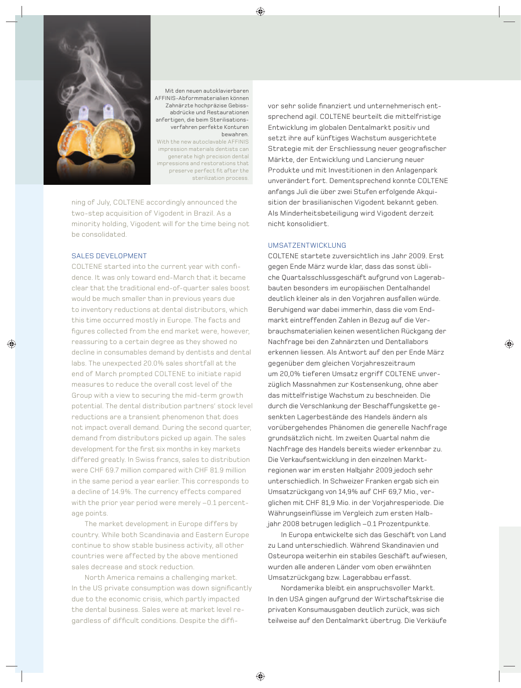

Mit den neuen autoklavierbaren AFFINIS-Abformmaterialien können Zahnärzte hochpräzise Gebissabdrücke und Restaurationen anfertigen, die beim Sterilisationsverfahren perfekte Konturen bewahren.

With the new autoclavable AFFINIS impression materials dentists can generate high precision dental impressions and restorations that preserve perfect fit after the sterilization process.

ning of July, COLTENE accordingly announced the two-step acquisition of Vigodent in Brazil. As a minority holding, Vigodent will for the time being not be consolidated.

### SALES DEVELOPMENT

COLTENE started into the current year with confidence. It was only toward end-March that it became clear that the traditional end-of-quarter sales boost would be much smaller than in previous years due to inventory reductions at dental distributors, which this time occurred mostly in Europe. The facts and figures collected from the end market were, however, reassuring to a certain degree as they showed no decline in consumables demand by dentists and dental labs. The unexpected 20.0% sales shortfall at the end of March prompted COLTENE to initiate rapid measures to reduce the overall cost level of the Group with a view to securing the mid-term growth potential. The dental distribution partners' stock level reductions are a transient phenomenon that does not impact overall demand. During the second quarter, demand from distributors picked up again. The sales development for the first six months in key markets differed greatly. In Swiss francs, sales to distribution were CHF 69.7 million compared with CHF 81.9 million in the same period a year earlier. This corresponds to a decline of 14.9%. The currency effects compared with the prior year period were merely –0.1 percentage points.

The market development in Europe differs by country. While both Scandinavia and Eastern Europe continue to show stable business activity, all other countries were affected by the above mentioned sales decrease and stock reduction.

North America remains a challenging market. In the US private consumption was down significantly due to the economic crisis, which partly impacted the dental business. Sales were at market level regardless of difficult conditions. Despite the diffivor sehr solide finanziert und unternehmerisch entsprechend agil. COLTENE beurteilt die mittelfristige Entwicklung im globalen Dentalmarkt positiv und setzt ihre auf künftiges Wachstum ausgerichtete Strategie mit der Erschliessung neuer geografischer Märkte, der Entwicklung und Lancierung neuer Produkte und mit Investitionen in den Anlagenpark unverändert fort. Dementsprechend konnte COLTENE anfangs Juli die über zwei Stufen erfolgende Akquisition der brasilianischen Vigodent bekannt geben. Als Minderheitsbeteiligung wird Vigodent derzeit nicht konsolidiert.

### UMSATZENTWICKLUNG

COLTENE startete zuversichtlich ins Jahr 2009. Erst gegen Ende März wurde klar, dass das sonst übliche Quartalsschlussgeschäft aufgrund von Lagerabbauten besonders im europäischen Dentalhandel deutlich kleiner als in den Vorjahren ausfallen würde. Beruhigend war dabei immerhin, dass die vom Endmarkt eintreffenden Zahlen in Bezug auf die Verbrauchsmaterialien keinen wesentlichen Rückgang der Nachfrage bei den Zahnärzten und Dentallabors erkennen liessen. Als Antwort auf den per Ende März gegenüber dem gleichen Vorjahreszeitraum um 20,0% tieferen Umsatz ergriff COLTENE unverzüglich Massnahmen zur Kostensenkung, ohne aber das mittelfristige Wachstum zu beschneiden. Die durch die Verschlankung der Beschaffungskette gesenkten Lagerbestände des Handels ändern als vorübergehendes Phänomen die generelle Nachfrage grundsätzlich nicht. Im zweiten Quartal nahm die Nachfrage des Handels bereits wieder erkennbar zu. Die Verkaufsentwicklung in den einzelnen Marktregionen war im ersten Halbjahr 2009 jedoch sehr unterschiedlich. In Schweizer Franken ergab sich ein Umsatzrückgang von 14,9% auf CHF 69,7 Mio., verglichen mit CHF 81,9 Mio. in der Vorjahresperiode. Die Währungseinflüsse im Vergleich zum ersten Halbjahr 2008 betrugen lediglich –0.1 Prozentpunkte.

In Europa entwickelte sich das Geschäft von Land zu Land unterschiedlich. Während Skandinavien und Osteuropa weiterhin ein stabiles Geschäft aufwiesen, wurden alle anderen Länder vom oben erwähnten Umsatzrückgang bzw. Lagerabbau erfasst.

Nordamerika bleibt ein anspruchsvoller Markt. In den USA gingen aufgrund der Wirtschaftskrise die privaten Konsumausgaben deutlich zurück, was sich teilweise auf den Dentalmarkt übertrug. Die Verkäufe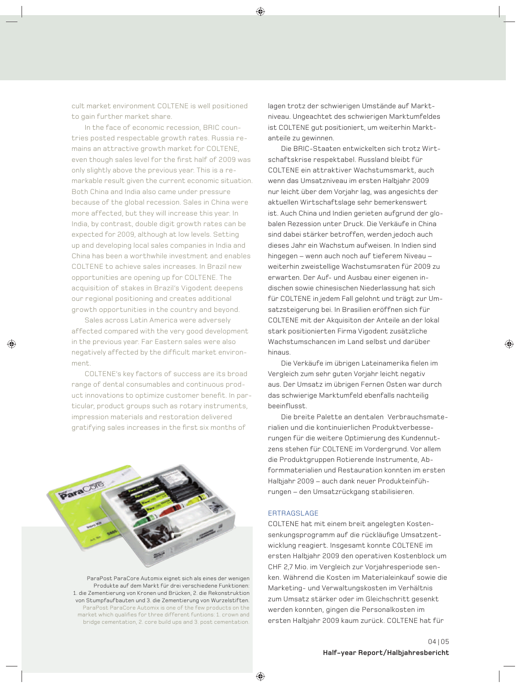cult market environment COLTENE is well positioned to gain further market share.

In the face of economic recession, BRIC countries posted respectable growth rates. Russia remains an attractive growth market for COLTENE, even though sales level for the first half of 2009 was only slightly above the previous year. This is a remarkable result given the current economic situation. Both China and India also came under pressure because of the global recession. Sales in China were more affected, but they will increase this year. In India, by contrast, double digit growth rates can be expected for 2009, although at low levels. Setting up and developing local sales companies in India and China has been a worthwhile investment and enables COLTENE to achieve sales increases. In Brazil new opportunities are opening up for COLTENE. The acquisition of stakes in Brazil's Vigodent deepens our regional positioning and creates additional growth opportunities in the country and beyond.

Sales across Latin America were adversely affected compared with the very good development in the previous year. Far Eastern sales were also negatively affected by the difficult market environment.

COLTENE's key factors of success are its broad range of dental consumables and continuous product innovations to optimize customer benefit. In particular, product groups such as rotary instruments, impression materials and restoration delivered gratifying sales increases in the first six months of

ParaCore

lagen trotz der schwierigen Umstände auf Marktniveau. Ungeachtet des schwierigen Marktumfeldes ist COLTENE aut positioniert, um weiterhin Marktanteile zu gewinnen.

Die BRIC-Staaten entwickelten sich trotz Wirtschaftskrise respektabel. Russland bleibt für COLTENE ein attraktiver Wachstumsmarkt, auch wenn das Umsatzniveau im ersten Halbjahr 2009 nur leicht über dem Vorjahr lag, was angesichts der aktuellen Wirtschaftslage sehr bemerkenswert ist. Auch China und Indien gerieten aufgrund der globalen Rezession unter Druck. Die Verkäufe in China sind dabei stärker betroffen, werden jedoch auch dieses Jahr ein Wachstum aufweisen. In Indien sind hingegen – wenn auch noch auf tieferem Niveau – weiterhin zweistellige Wachstumsraten für 2009 zu erwarten. Der Auf- und Ausbau einer eigenen indischen sowie chinesischen Niederlassung hat sich für COLTENE in jedem Fall gelohnt und trägt zur Umsatzsteigerung bei. In Brasilien eröffnen sich für COLTENE mit der Akquisiton der Anteile an der lokal stark positionierten Firma Vigodent zusätzliche Wachstumschancen im Land selbst und darüber hinaus.

Die Verkäufe im übrigen Lateinamerika fielen im Vergleich zum sehr guten Vorjahr leicht negativ aus. Der Umsatz im übrigen Fernen Osten war durch das schwierige Marktumfeld ebenfalls nachteilig beeinflusst.

Die breite Palette an dentalen Verbrauchsmaterialien und die kontinuierlichen Produktverbesserungen für die weitere Optimierung des Kundennutzens stehen für COLTENE im Vordergrund. Vor allem die Produktgruppen Rotierende Instrumente, Abformmaterialien und Restauration konnten im ersten Halbjahr 2009 – auch dank neuer Produkteinführungen – den Umsatzrückgang stabilisieren.

### ERTRAGSLAGE

COLTENE hat mit einem breit angelegten Kostensenkungsprogramm auf die rückläufige Umsatzentwicklung reagiert. Insgesamt konnte COLTENE im ersten Halbjahr 2009 den operativen Kostenblock um CHF 2,7 Mio. im Vergleich zur Vorjahresperiode senken. Während die Kosten im Materialeinkauf sowie die Marketing- und Verwaltungskosten im Verhältnis zum Umsatz stärker oder im Gleichschritt gesenkt werden konnten, gingen die Personalkosten im ersten Halbjahr 2009 kaum zurück. COLTENE hat für

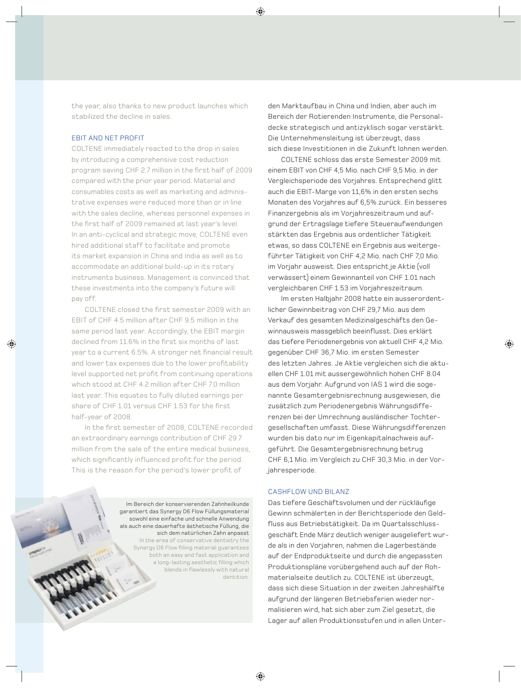the year, also thanks to new product launches which stabilized the decline in sales.

### EBIT AND NET PROFIT

COLTENE immediately reacted to the drop in sales by introducing a comprehensive cost reduction program saving CHF 2.7 million in the first half of 2009 compared with the prior year period. Material and consumables costs as well as marketing and administrative expenses were reduced more than or in line with the sales decline, whereas personnel expenses in the first half of 2009 remained at last year's level. In an anti-cyclical and strategic move, COLTENE even hired additional staff to facilitate and promote its market expansion in China and India as well as to accommodate an additional build-up in its rotary instruments business. Management is convinced that these investments into the company's future will pay off.

COLTENE closed the first semester 2009 with an EBIT of CHF 4.5 million after CHF 9.5 million in the same period last year. Accordingly, the EBIT margin declined from 11.6% in the first six months of last year to a current 6.5%. A stronger net financial result and lower tax expenses due to the lower profitability level supported net profit from continuing operations which stood at CHF 4.2 million after CHF 7.0 million last year. This equates to fully diluted earnings per share of CHF 1.01 versus CHF 1.53 for the first half-year of 2008.

In the first semester of 2008, COLTENE recorded an extraordinary earnings contribution of CHF 29.7 million from the sale of the entire medical business, which significantly influenced profit for the period. This is the reason for the period's lower profit of

> Im Bereich der konservierenden Zahnheilkunde garantiert das Synergy D6 Flow Füllungsmaterial sowohl eine einfache und schnelle Anwendung als auch eine dauerhafte ästhetische Füllung, die sich dem natürlichen Zahn anpasst In the area of conservative dentistry the Synergy D6 Flow filling material guarantees both an easy and fast application and a long-lasting aesthetic filling which blends in flawlessly with natural dentition.

den Markt aufbau in China und Indien, aber auch im Bereich der Rotierenden Instrumente, die Personaldecke strategisch und antizyklisch sogar verstärkt. Die Unternehmensleitung ist überzeugt, dass sich diese Investitionen in die Zukunft lohnen werden.

COLTENE schloss das erste Semester 2009 mit einem EBIT von CHF 4,5 Mio. nach CHF 9,5 Mio. in der Ver gleichsperiode des Vorjahres. Entsprechend glitt auch die EBIT-Marge von 11,6% in den ersten sechs Monaten des Vorjahres auf 6,5% zurück. Ein besseres Finanzergebnis als im Voriahreszeitraum und aufgrund der Ertragslage tiefere Steueraufwendungen stärkten das Ergebnis aus ordentlicher Tätigkeit etwas, so dass COLTENE ein Ergebnis aus weitergeführter Tätigkeit von CHF 4,2 Mio. nach CHF 7,0 Mio. im Vorjahr ausweist. Dies entspricht je Aktie (voll verwässert) einem Gewinnanteil von CHF 1.01 nach vergleichbaren CHF 1.53 im Vorjahreszeitraum.

Im ersten Halbjahr 2008 hatte ein ausserordentlicher Gewinnbeitrag von CHF 29,7 Mio. aus dem Verkauf des gesamten Medizinalgeschäfts den Gewinnausweis massgeblich beeinflusst. Dies erklärt das tiefere Periodenergebnis von aktuell CHF 4,2 Mio. gegenüber CHF 36,7 Mio. im ersten Semester des letzten Jahres. Je Aktie vergleichen sich die aktuellen CHF 1.01 mit aussergewöhnlich hohen CHF 8.04 aus dem Vorjahr. Aufgrund von IAS 1 wird die sogenannte Gesamtergebnisrechnung ausgewiesen, die zusätzlich zum Periodenergebnis Währungsdifferenzen bei der Umrechnung ausländischer Tochtergesellschaften umfasst. Diese Währungsdifferenzen wurden bis dato nur im Eigenkapitalnachweis aufgeführt. Die Gesamtergebnisrechnung betrug CHF 6,1 Mio. im Vergleich zu CHF 30,3 Mio. in der Vorjahresperiode.

### CASHFLOW UND BILANZ

Das tiefere Geschäftsvolumen und der rückläufige Gewinn schmälerten in der Berichtsperiode den Geldfluss aus Betriebstätigkeit. Da im Quartalsschlussgeschäft Ende März deutlich weniger ausgeliefert wurde als in den Vorjahren, nahmen die Lagerbestände auf der Endproduktseite und durch die angepassten Produktionspläne vorübergehend auch auf der Rohmaterialseite deutlich zu. COLTENE ist überzeugt, dass sich diese Situation in der zweiten Jahreshälfte aufgrund der längeren Betriebsferien wieder normalisieren wird, hat sich aber zum Ziel gesetzt, die Lager auf allen Produktionsstufen und in allen Unter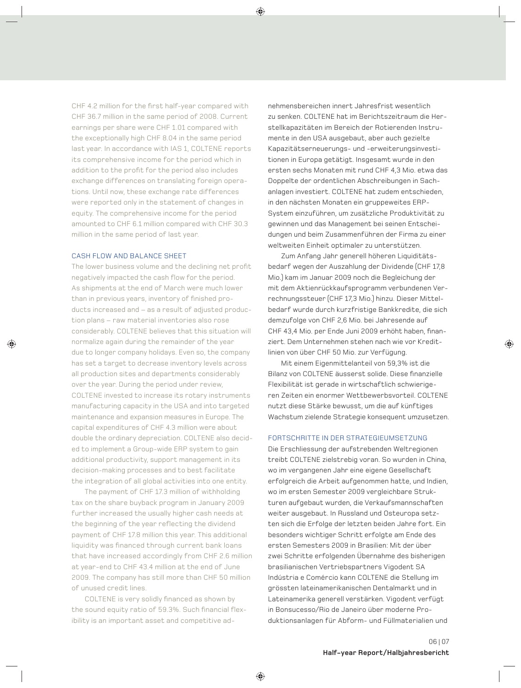CHF 4.2 million for the first half-year compared with CHF 36.7 million in the same period of 2008. Current earnings per share were CHF 1.01 compared with the exceptionally high CHF 8.04 in the same period last year. In accordance with IAS 1, COLTENE reports its comprehensive income for the period which in addition to the profit for the period also includes exchange differences on translating foreign operations. Until now, these exchange rate differences were reported only in the statement of changes in equity. The comprehensive income for the period amounted to CHF 6.1 million compared with CHF 30.3 million in the same period of last year.

### CASH FLOW AND BALANCE SHEET

The lower business volume and the declining net profit negatively impacted the cash flow for the period. As shipments at the end of March were much lower than in previous years, inventory of finished products increased and – as a result of adjusted production plans – raw material inventories also rose considerably. COLTENE believes that this situation will normalize again during the remainder of the year due to longer company holidays. Even so, the company has set a target to decrease inventory levels across all production sites and departments considerably over the year. During the period under review, COLTENE invested to increase its rotary instruments manufacturing capacity in the USA and into targeted maintenance and expansion measures in Europe. The capital expenditures of CHF 4.3 million were about double the ordinary depreciation. COLTENE also decided to implement a Group-wide ERP system to gain additional productivity, support management in its decision-making processes and to best facilitate the integration of all global activities into one entity.

The payment of CHF 17.3 million of withholding tax on the share buyback program in January 2009 further increased the usually higher cash needs at the beginning of the year reflecting the dividend payment of CHF 17.8 million this year. This additional liquidity was financed through current bank loans that have increased accordingly from CHF 2.6 million at year-end to CHF 43.4 million at the end of June 2009. The company has still more than CHF 50 million of unused credit lines.

COLTENE is very solidly financed as shown by the sound equity ratio of 59.3%. Such financial flexibility is an important asset and competitive adnehmensbereichen innert Jahresfrist wesentlich zu senken. COLTENE hat im Berichtszeitraum die Herstellkapazitäten im Bereich der Rotierenden Instrumente in den USA ausgebaut, aber auch gezielte Kapazitätserneuerungs- und -erweiterungsinvestitionen in Europa getätigt. Insgesamt wurde in den ersten sechs Monaten mit rund CHF 4,3 Mio. etwa das Doppelte der ordentlichen Abschreibungen in Sachanlagen investiert. COLTENE hat zudem entschieden, in den nächsten Monaten ein gruppeweites ERP-System einzuführen, um zusätzliche Produktivität zu gewinnen und das Management bei seinen Entscheidungen und beim Zusammenführen der Firma zu einer weltweiten Einheit optimaler zu unterstützen.

Zum Anfang Jahr generell höheren Liquiditätsbedarf wegen der Auszahlung der Dividende (CHF 17,8 Mio.) kam im Januar 2009 noch die Begleichung der mit dem Aktienrückkaufsprogramm verbundenen Verrechnungssteuer (CHF 17,3 Mio.) hinzu. Dieser Mittelbedarf wurde durch kurzfristige Bankkredite, die sich demzufolge von CHF 2,6 Mio. bei Jahresende auf CHF 43,4 Mio. per Ende Juni 2009 erhöht haben, finanziert. Dem Unternehmen stehen nach wie vor Kreditlinien von über CHF 50 Mio. zur Verfügung.

Mit einem Eigenmittelanteil von 59,3% ist die Bilanz von COLTENE äusserst solide. Diese finanzielle Flexibilität ist gerade in wirtschaftlich schwierigeren Zeiten ein enormer Wettbewerbsvorteil. COLTENE nutzt diese Stärke bewusst, um die auf künftiges Wachstum zielende Strategie konsequent umzusetzen.

### FORTSCHRITTE IN DER STRATEGIEUMSETZUNG

Die Erschliessung der aufstrebenden Weltregionen treibt COLTENE zielstrebig voran. So wurden in China, wo im vergangenen Jahr eine eigene Gesellschaft erfolgreich die Arbeit aufgenommen hatte, und Indien, wo im ersten Semester 2009 vergleichbare Strukturen aufgebaut wurden, die Verkaufsmannschaften weiter ausgebaut. In Russland und Osteuropa setzten sich die Erfolge der letzten beiden Jahre fort. Ein besonders wichtiger Schritt erfolgte am Ende des ersten Semesters 2009 in Brasilien: Mit der über zwei Schritte erfolgenden Übernahme des bisherigen brasilianischen Vertriebspartners Vigodent SA Indústria e Comércio kann COLTENE die Stellung im grössten lateinamerikanischen Dentalmarkt und in Lateinamerika generell verstärken. Vigodent verfügt in Bonsucesso/Rio de Janeiro über moderne Produktionsanlagen für Abform- und Füllmaterialien und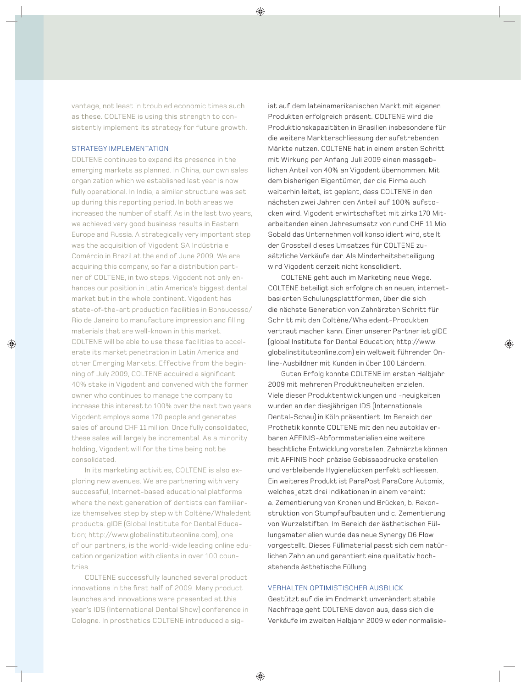vantage, not least in troubled economic times such as these. COLTENE is using this strength to consistently implement its strategy for future growth.

### STRATEGY IMPLEMENTATION

COLTENE continues to expand its presence in the emerging markets as planned. In China, our own sales organization which we established last year is now fully operational. In India, a similar structure was set up during this reporting period. In both areas we increased the number of staff. As in the last two years, we achieved very good business results in Eastern Europe and Russia. A strategically very important step was the acquisition of Vigodent SA Indústria e Comércio in Brazil at the end of June 2009. We are acquiring this company, so far a distribution partner of COLTENE, in two steps. Vigodent not only en hances our position in Latin America's biggest dental market but in the whole continent. Vigodent has state-of-the-art production facilities in Bonsucesso/ Rio de Janeiro to manufacture impression and filling materials that are well-known in this market. COLTENE will be able to use these facilities to accelerate its market penetration in Latin America and other Emerging Markets. Effective from the beginning of July 2009, COLTENE acquired a significant 40% stake in Vigodent and convened with the former owner who continues to manage the company to increase this interest to 100% over the next two years. Vigodent employs some 170 people and generates sales of around CHF 11 million. Once fully consolidated, these sales will largely be incremental. As a minority holding, Vigodent will for the time being not be consolidated.

In its marketing activities, COLTENE is also exploring new avenues. We are partnering with very successful, Internet-based educational platforms where the next generation of dentists can familiarize themselves step by step with Coltène/Whaledent products. gIDE (Global Institute for Dental Education; http://www.globalinstituteonline.com), one of our partners, is the world-wide leading online education organization with clients in over 100 countries.

COLTENE successfully launched several product innovations in the first half of 2009. Many product launches and innovations were presented at this year's IDS (International Dental Show) conference in Cologne. In prosthetics COLTENE introduced a sigist auf dem lateinamerikanischen Markt mit eigenen Produkten erfolgreich präsent. COLTENE wird die Produktionskapazitäten in Brasilien insbesondere für die weitere Markterschliessung der aufstrebenden Märkte nutzen. COLTENE hat in einem ersten Schritt mit Wirkung per Anfang Juli 2009 einen massgeblichen Anteil von 40% an Vigodent übernommen. Mit dem bisherigen Eigentümer, der die Firma auch weiterhin leitet, ist geplant, dass COLTENE in den nächsten zwei Jahren den Anteil auf 100% aufstocken wird. Vigodent erwirtschaftet mit zirka 170 Mitarbeitenden einen Jahresumsatz von rund CHF 11 Mio. Sobald das Unternehmen voll konsolidiert wird, stellt der Grossteil dieses Umsatzes für COLTENE zusätzliche Verkäufe dar. Als Minderheitsbeteiligung wird Vigodent derzeit nicht konsolidiert.

COLTENE geht auch im Marketing neue Wege. COLTENE beteiligt sich erfolgreich an neuen, internetbasierten Schulungsplattformen, über die sich die nächste Generation von Zahnärzten Schritt für Schritt mit den Coltène/Whaledent-Produkten vertraut machen kann. Einer unserer Partner ist gIDE (global Institute for Dental Education; http://www. globalinstituteonline.com) ein weltweit führender Online-Ausbildner mit Kunden in über 100 Ländern.

Guten Erfolg konnte COLTENE im ersten Halbjahr 2009 mit mehreren Produktneuheiten erzielen. Viele dieser Produktentwicklungen und -neuigkeiten wurden an der diesjährigen IDS (Internationale Dental-Schau) in Köln präsentiert. Im Bereich der Prothetik konnte COLTENE mit den neu autoklavierbaren AFFINIS-Abformmaterialien eine weitere beachtliche Entwicklung vorstellen. Zahnärzte können mit AFFINIS hoch präzise Gebissabdrucke erstellen und verbleibende Hygienelücken perfekt schliessen. Ein weiteres Produkt ist ParaPost ParaCore Automix, welches jetzt drei Indikationen in einem vereint: a. Zementierung von Kronen und Brücken, b. Rekonstruktion von Stumpfaufbauten und c. Zementierung von Wurzelstiften. Im Bereich der ästhetischen Füllungsmaterialien wurde das neue Synergy D6 Flow vorgestellt. Dieses Füllmaterial passt sich dem natürlichen Zahn an und garantiert eine qualitativ hochstehende ästhetische Füllung.

### VERHALTEN OPTIMISTISCHER AUSBLICK

Gestützt auf die im Endmarkt unverändert stabile Nachfrage geht COLTENE davon aus, dass sich die Verkäufe im zweiten Halbjahr 2009 wieder normalisie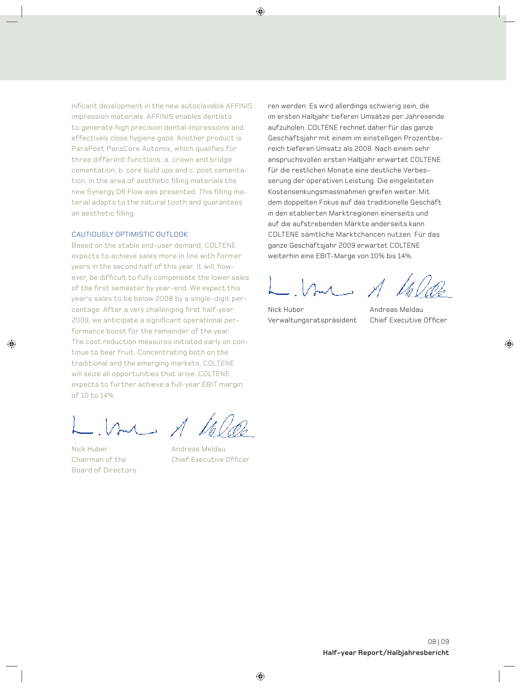nificant development in the new autoclavable AFFINIS impression materials. AFFINIS enables dentists to generate high precision dental impressions and effectively close hygiene gaps. Another product is ParaPost ParaCore Automix, which qualifies for three different functions: a. crown and bridge cementation, b. core build ups and c. post cementation. In the area of aesthetic filling materials the new Synergy D6 Flow was presented. This filling material adapts to the natural tooth and guarantees an aesthetic filling.

### CAUTIOUSLY OPTIMISTIC OUTLOOK

Based on the stable end-user demand, COLTENE expects to achieve sales more in line with former years in the second half of this year. It will, however, be difficult to fully compensate the lower sales of the first semester by year-end. We expect this year's sales to be below 2008 by a single-digit percentage. After a very challenging first half-year 2009, we anticipate a significant operational performance boost for the remainder of the year. The cost reduction measures initiated early on continue to bear fruit. Concentrating both on the traditional and the emerging markets, COLTENE will seize all opportunities that arise. COLTENE expects to further achieve a full-year EBIT margin of 10 to 14%.

me A Ve

Nick Huber **Andreas Meldau** Board of Directors

Chairman of the Chief Executive Officer

ren werden. Es wird allerdings schwierig sein, die im ersten Halbjahr tieferen Umsätze per Jahresende aufzuholen. COLTENE rechnet daher für das ganze Geschäfts jahr mit einem im einstelligen Prozentbereich tieferen Umsatz als 2008. Nach einem sehr anspruchsvollen ersten Halbjahr erwartet COLTENE für die restlichen Monate eine deutliche Verbesserung der operativen Leistung. Die eingeleiteten Kostensenkungsmassnahmen greifen weiter. Mit dem doppelten Fokus auf das traditionelle Geschäft in den etablierten Marktregionen einerseits und auf die aufstrebenden Märkte anderseits kann COLTENE sämtliche Marktchancen nutzen. Für das ganze Geschäftsjahr 2009 erwartet COLTENE weiterhin eine EBIT-Marge von 10% bis 14%.

 $M \rightarrow \overline{X}$ 

Nick Huber **Andreas Meldau** Verwaltungsratspräsident Chief Executive Officer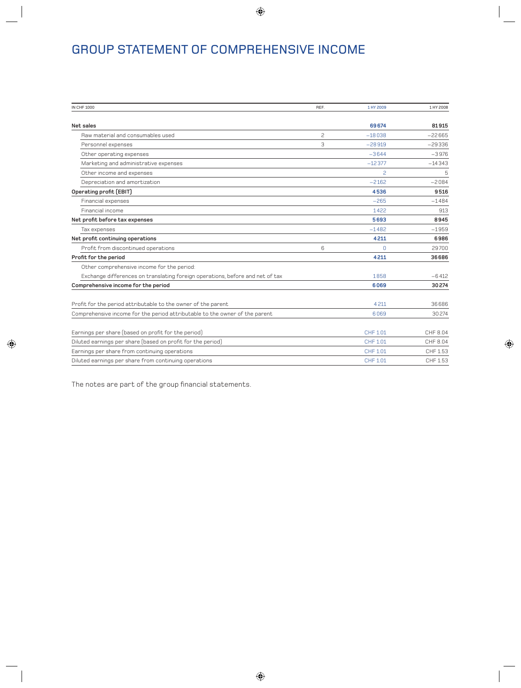# GROUP STATEMENT OF COMPREHENSIVE INCOME

| IN CHF 1000                                                                   | REF. | 1 HY 2009    | 1 HY 2008 |
|-------------------------------------------------------------------------------|------|--------------|-----------|
| Net sales                                                                     |      | 69674        | 81915     |
| Raw material and consumables used                                             | 2    | $-18038$     | $-22665$  |
| Personnel expenses                                                            | 3    | $-28919$     | $-29336$  |
| Other operating expenses                                                      |      | $-3644$      | $-3976$   |
| Marketing and administrative expenses                                         |      | $-12377$     | $-14343$  |
| Other income and expenses                                                     |      | 2            | 5         |
| Depreciation and amortization                                                 |      | $-2162$      | $-2084$   |
| Operating profit (EBIT)                                                       |      | 4536         | 9516      |
| Financial expenses                                                            |      | $-265$       | $-1484$   |
| Financial income                                                              |      | 1422         | 913       |
| Net profit before tax expenses                                                |      | 5693         | 8945      |
| Tax expenses                                                                  |      | $-1482$      | $-1959$   |
| Net profit continuing operations                                              |      | 4211         | 6986      |
| Profit from discontinued operations                                           | 6    | <sup>n</sup> | 29700     |
| Profit for the period                                                         |      | 4211         | 36686     |
| Other comprehensive income for the period:                                    |      |              |           |
| Exchange differences on translating foreign operations, before and net of tax |      | 1858         | $-6412$   |
| Comprehensive income for the period                                           |      | 6069         | 30274     |
| Profit for the period attributable to the owner of the parent                 |      | 4211         | 36686     |
| Comprehensive income for the period attributable to the owner of the parent   |      | 6069         | 30274     |
| Earnings per share (based on profit for the period)                           |      | CHF 1.01     | CHF 8.04  |
| Diluted earnings per share (based on profit for the period)                   |      | CHF 1.01     | CHF 8.04  |
| Earnings per share from continuing operations                                 |      | CHF 1.01     | CHF 1.53  |
| Diluted earnings per share from continuing operations                         |      | CHF 1.01     | CHF 1.53  |
|                                                                               |      |              |           |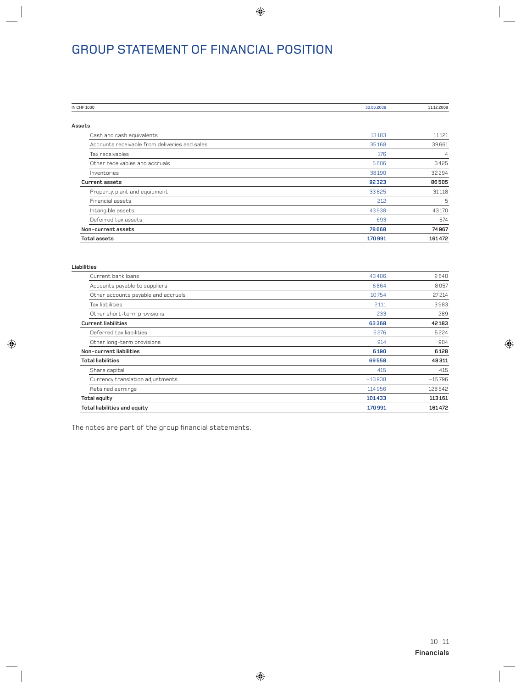# GROUP STATEMENT OF FINANCIAL POSITION

| IN CHF 1000                                   | 30.06.2009 | 31.12.2008     |
|-----------------------------------------------|------------|----------------|
|                                               |            |                |
| Assets                                        |            |                |
| Cash and cash equivalents                     | 13183      | 11121          |
| Accounts receivable from deliveries and sales | 35168      | 39661          |
| Tax receivables                               | 176        | $\overline{4}$ |
| Other receivables and accruals                | 5606       | 3425           |
| Inventories                                   | 38190      | 32294          |
| Current assets                                | 92323      | 86505          |
| Property, plant and equipment                 | 33825      | 31118          |
| Financial assets                              | 212        | 5              |
| Intangible assets                             | 43938      | 43170          |
| Deferred tax assets                           | 693        | 674            |
| Non-current assets                            | 78668      | 74967          |
| <b>Total assets</b>                           | 170991     | 161472         |

| Liabilities<br>. |  |  |  |
|------------------|--|--|--|

| Current bank loans                  | 43406    | 2640     |
|-------------------------------------|----------|----------|
| Accounts payable to suppliers       | 6864     | 8057     |
| Other accounts payable and accruals | 10754    | 27214    |
| Tax liabilities                     | 2111     | 3983     |
| Other short-term provisions         | 233      | 289      |
| <b>Current liabilities</b>          | 63368    | 42183    |
| Deferred tax liabilities            | 5276     | 5224     |
| Other long-term provisions          | 914      | 904      |
| Non-current liabilities             | 6190     | 6128     |
| <b>Total liabilities</b>            | 69558    | 48311    |
| Share capital                       | 415      | 415      |
| Currency translation adjustments    | $-13938$ | $-15796$ |
| Retained earnings                   | 114956   | 128542   |
| <b>Total equity</b>                 | 101433   | 113161   |
| <b>Total liabilities and equity</b> | 170991   | 161472   |
|                                     |          |          |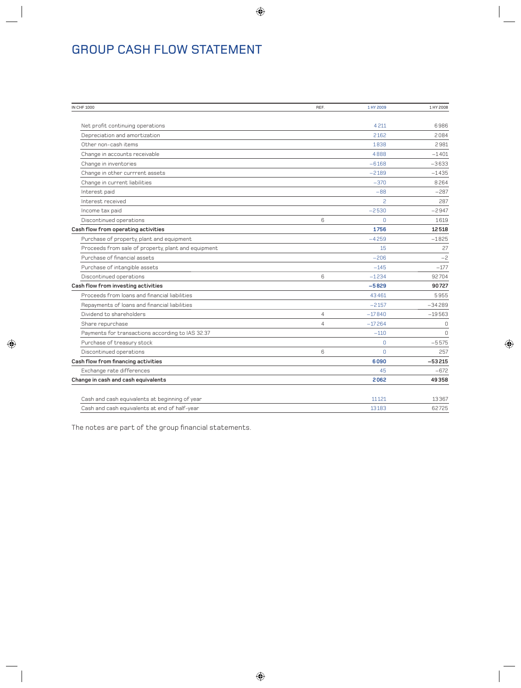# GROUP CASH FLOW STATEMENT

| IN CHF 1000                                         | REF.           | 1 HY 2009 | 1 HY 2008   |
|-----------------------------------------------------|----------------|-----------|-------------|
|                                                     |                |           |             |
| Net profit continuing operations                    |                | 4211      | 6986        |
| Depreciation and amortization                       |                | 2162      | 2084        |
| Other non-cash items                                |                | 1838      | 2981        |
| Change in accounts receivable                       |                | 4888      | $-1401$     |
| Change in inventories                               |                | $-6168$   | $-3633$     |
| Change in other currrent assets                     |                | $-2189$   | $-1435$     |
| Change in current liabilities                       |                | $-370$    | 8264        |
| Interest paid                                       |                | $-88$     | $-287$      |
| Interest received                                   |                | 2         | 287         |
| Income tax paid                                     |                | $-2530$   | $-2947$     |
| Discontinued operations                             | 6              | $\Omega$  | 1619        |
| Cash flow from operating activities                 |                | 1756      | 12518       |
| Purchase of property, plant and equipment           |                | $-4259$   | $-1825$     |
| Proceeds from sale of property, plant and equipment |                | 15        | 27          |
| Purchase of financial assets                        |                | $-206$    | $-2$        |
| Purchase of intangible assets                       |                | $-145$    | $-177$      |
| Discontinued operations                             | 6              | $-1234$   | 92704       |
| Cash flow from investing activities                 |                | $-5829$   | 90727       |
| Proceeds from loans and financial liabilities       |                | 43461     | 5955        |
| Repayments of loans and financial liabilities       |                | $-2157$   | $-34289$    |
| Dividend to shareholders                            | $\overline{4}$ | $-17840$  | $-19563$    |
| Share repurchase                                    | $\overline{4}$ | $-17264$  | $\mathbf 0$ |
| Payments for transactions according to IAS 32.37    |                | $-110$    | $\Omega$    |
| Purchase of treasury stock                          |                | $\Omega$  | $-5575$     |
| Discontinued operations                             | 6              | $\Omega$  | 257         |
| Cash flow from financing activities                 |                | 6090      | $-53215$    |
| Exchange rate differences                           |                | 45        | $-672$      |
| Change in cash and cash equivalents                 |                | 2062      | 49358       |
|                                                     |                |           |             |
| Cash and cash equivalents at beginning of year      |                | 11121     | 13367       |
| Cash and cash equivalents at end of half-year       |                | 13183     | 62725       |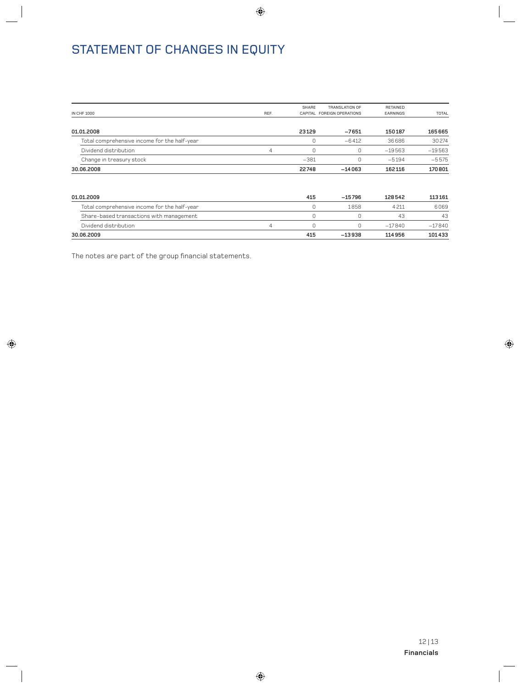# STATEMENT OF CHANGES IN EQUITY

| <b>IN CHF 1000</b>                           | REF. | <b>SHARE</b> | TRANSLATION OF<br>CAPITAL FOREIGN OPERATIONS | <b>RETAINED</b><br>EARNINGS | TOTAL    |
|----------------------------------------------|------|--------------|----------------------------------------------|-----------------------------|----------|
|                                              |      |              |                                              |                             |          |
| 01.01.2008                                   |      | 23129        | $-7651$                                      | 150187                      | 165665   |
| Total comprehensive income for the half-year |      | 0            | $-6412$                                      | 36686                       | 30274    |
| Dividend distribution                        | 4    | 0            | 0                                            | $-19563$                    | $-19563$ |
| Change in treasury stock                     |      | $-381$       | 0                                            | $-5194$                     | $-5575$  |
| 30.06.2008                                   |      | 22748        | $-14063$                                     | 162116                      | 170801   |
| 01.01.2009                                   |      | 415          | $-15796$                                     | 128542                      | 113161   |
| Total comprehensive income for the half-year |      | 0            | 1858                                         | 4211                        | 6069     |
| Share-based transactions with management     |      | 0            | 0                                            | 43                          | 43       |
| Dividend distribution                        | 4    | 0            | 0                                            | $-17840$                    | $-17840$ |
| 30.06.2009                                   |      | 415          | $-13938$                                     | 114956                      | 101433   |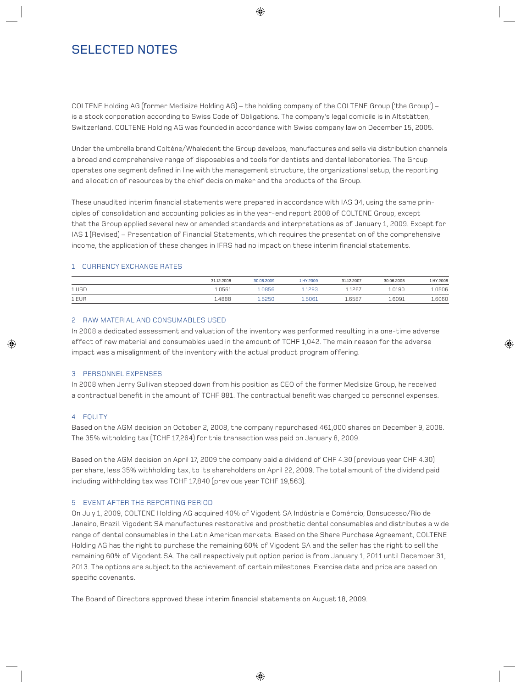# SELECTED NOTES

COLTENE Holding AG (former Medisize Holding AG) – the holding company of the COLTENE Group ('the Group') – is a stock corporation according to Swiss Code of Obligations. The company's legal domicile is in Altstätten, Switzerland. COLTENE Holding AG was founded in accordance with Swiss company law on December 15, 2005.

Under the umbrella brand Coltène/Whaledent the Group develops, manufactures and sells via distribution channels a broad and comprehensive range of disposables and tools for dentists and dental laboratories. The Group operates one segment defined in line with the management structure, the organizational setup, the reporting and allocation of resources by the chief decision maker and the products of the Group.

These unaudited interim financial statements were prepared in accordance with IAS 34, using the same principles of consolidation and accounting policies as in the year-end report 2008 of COLTENE Group, except that the Group applied several new or amended standards and interpretations as of January 1, 2009. Except for IAS 1 (Revised) – Presentation of Financial Statements, which requires the presentation of the comprehensive income, the application of these changes in IFRS had no impact on these interim financial statements.

### 1 CURRENCY EXCHANGE RATES

|       | 31.12.2008 | 30.06.2009 | 1 HY 2009 | 31.12.2007 | 30.06.2008 | 1 HY 2008 |
|-------|------------|------------|-----------|------------|------------|-----------|
| 1 USD | 1.0561     | .0856      | .1293     | 1.1267     | .0190      | 1.0506    |
| 1 EUR | .4888      | .5250      | 5061      | 1.6587     | 1.6091     | 1.6060    |

### 2 RAW MATERIAL AND CONSUMABLES USED

In 2008 a dedicated assessment and valuation of the inventory was performed resulting in a one-time adverse effect of raw material and consumables used in the amount of TCHF 1,042. The main reason for the adverse impact was a misalignment of the inventory with the actual product program offering.

### 3 PERSONNEL EXPENSES

In 2008 when Jerry Sullivan stepped down from his position as CEO of the former Medisize Group, he received a contractual benefit in the amount of TCHF 881. The contractual benefit was charged to personnel expenses.

### 4 EQUITY

Based on the AGM decision on October 2, 2008, the company repurchased 461,000 shares on December 9, 2008. The 35% witholding tax (TCHF 17,264) for this transaction was paid on January 8, 2009.

Based on the AGM decision on April 17, 2009 the company paid a dividend of CHF 4.30 (previous year CHF 4.30) per share, less 35% withholding tax, to its shareholders on April 22, 2009. The total amount of the dividend paid including withholding tax was TCHF 17,840 (previous year TCHF 19,563).

### 5 EVENT AFTER THE REPORTING PERIOD

On July 1, 2009, COLTENE Holding AG acquired 40% of Vigodent SA Indústria e Comércio, Bonsucesso/Rio de Janeiro, Brazil. Vigodent SA manufactures restorative and prosthetic dental consumables and distributes a wide range of dental consumables in the Latin American markets. Based on the Share Purchase Agreement, COLTENE Holding AG has the right to purchase the remaining 60% of Vigodent SA and the seller has the right to sell the remaining 60% of Vigodent SA. The call respectively put option period is from January 1, 2011 until December 31, 2013. The options are subject to the achievement of certain milestones. Exercise date and price are based on specific covenants.

The Board of Directors approved these interim financial statements on August 18, 2009.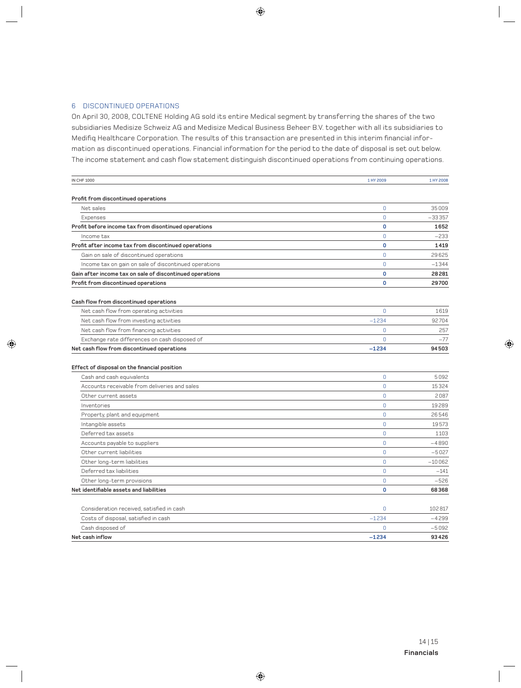### 6 DISCONTINUED OPERATIONS

On April 30, 2008, COLTENE Holding AG sold its entire Medical segment by transferring the shares of the two subsidiaries Medisize Schweiz AG and Medisize Medical Business Beheer B.V. together with all its subsidiaries to Medifiq Healthcare Corporation. The results of this transaction are presented in this interim financial information as discontinued operations. Financial information for the period to the date of disposal is set out below. The income statement and cash flow statement distinguish discontinued operations from continuing operations.

| <b>IN CHF 1000</b>                                       | 1 HY 2009      | 1 HY 2008 |
|----------------------------------------------------------|----------------|-----------|
|                                                          |                |           |
| Profit from discontinued operations                      |                |           |
| Net sales                                                | $\overline{0}$ | 35009     |
| Expenses                                                 | $\overline{0}$ | $-33357$  |
| Profit before income tax from disontinued operations     | 0              | 1652      |
| Income tax                                               | $\mathbf{0}$   | $-233$    |
| Profit after income tax from discontinued operations     | $\mathbf{0}$   | 1419      |
| Gain on sale of discontinued operations                  | $\Omega$       | 29625     |
| Income tax on gain on sale of discontinued operations    | $\Omega$       | $-1344$   |
| Gain after income tax on sale of discontinued operations | 0              | 28281     |
| Profit from discontinued operations                      | 0              | 29700     |
| Cash flow from discontinued operations                   |                |           |
| Net cash flow from operating activities                  | $\mathbf 0$    | 1619      |
| Net cash flow from investing activities                  | $-1234$        | 92704     |
| Net cash flow from financing activities                  | $\Omega$       | 257       |
| Exchange rate differences on cash disposed of            | $\Omega$       | $-77$     |
| Net cash flow from discontinued operations               | $-1234$        | 94503     |
| Effect of disposal on the financial position             |                |           |
| Cash and cash equivalents                                | $\mathbf{0}$   | 5092      |
| Accounts receivable from deliveries and sales            | $\overline{0}$ | 15324     |
| Other current assets                                     | $\overline{0}$ | 2087      |
| Inventories                                              | $\Omega$       | 19289     |
| Property, plant and equipment                            | $\overline{0}$ | 26546     |
| Intangible assets                                        | $\overline{0}$ | 19573     |
| Deferred tax assets                                      | $\overline{0}$ | 1103      |
| Accounts payable to suppliers                            | $\overline{0}$ | $-4890$   |
| Other current liabilities                                | $\mathbf{0}$   | $-5027$   |
| Other long-term liabilities                              | $\overline{0}$ | $-10062$  |
| Deferred tax liabilities                                 | $\Omega$       | $-141$    |
| Other long-term provisions                               | $\Omega$       | $-526$    |
| Net identifiable assets and liabilities                  | $\mathbf{0}$   | 68368     |
| Consideration received, satisfied in cash                | 0              | 102817    |
| Costs of disposal, satisfied in cash                     | $-1234$        | $-4299$   |
| Cash disposed of                                         | $\mathbf 0$    | $-5092$   |
| Net cash inflow                                          | $-1234$        | 93426     |